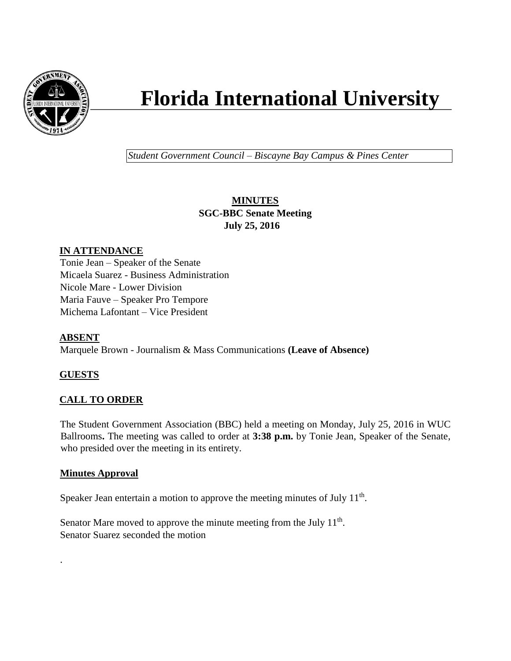

# **Florida International University**

*Student Government Council – Biscayne Bay Campus & Pines Center*

# **MINUTES SGC-BBC Senate Meeting July 25, 2016**

# **IN ATTENDANCE**

Tonie Jean – Speaker of the Senate Micaela Suarez - Business Administration Nicole Mare - Lower Division Maria Fauve – Speaker Pro Tempore Michema Lafontant – Vice President

# **ABSENT**

Marquele Brown - Journalism & Mass Communications **(Leave of Absence)**

# **GUESTS**

.

# **CALL TO ORDER**

The Student Government Association (BBC) held a meeting on Monday, July 25, 2016 in WUC Ballrooms**.** The meeting was called to order at **3:38 p.m.** by Tonie Jean, Speaker of the Senate, who presided over the meeting in its entirety.

## **Minutes Approval**

Speaker Jean entertain a motion to approve the meeting minutes of July  $11<sup>th</sup>$ .

Senator Mare moved to approve the minute meeting from the July  $11<sup>th</sup>$ . Senator Suarez seconded the motion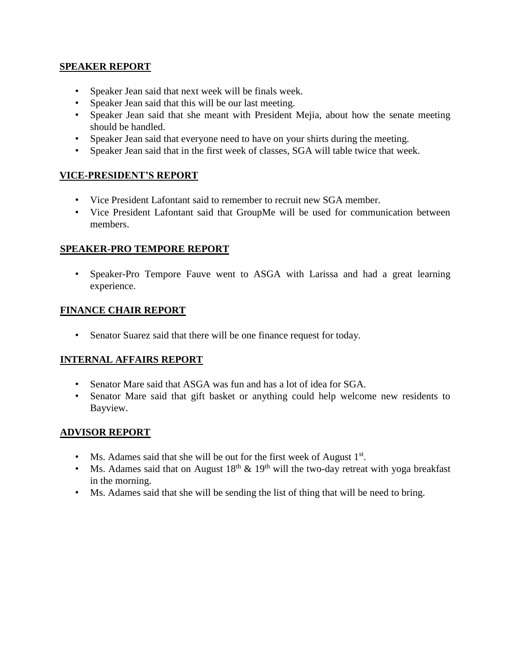#### **SPEAKER REPORT**

- Speaker Jean said that next week will be finals week.
- Speaker Jean said that this will be our last meeting.
- Speaker Jean said that she meant with President Mejia, about how the senate meeting should be handled.
- Speaker Jean said that everyone need to have on your shirts during the meeting.
- Speaker Jean said that in the first week of classes, SGA will table twice that week.

## **VICE-PRESIDENT'S REPORT**

- Vice President Lafontant said to remember to recruit new SGA member.
- Vice President Lafontant said that GroupMe will be used for communication between members.

#### **SPEAKER-PRO TEMPORE REPORT**

• Speaker-Pro Tempore Fauve went to ASGA with Larissa and had a great learning experience.

## **FINANCE CHAIR REPORT**

• Senator Suarez said that there will be one finance request for today.

## **INTERNAL AFFAIRS REPORT**

- Senator Mare said that ASGA was fun and has a lot of idea for SGA.
- Senator Mare said that gift basket or anything could help welcome new residents to Bayview.

## **ADVISOR REPORT**

- Ms. Adames said that she will be out for the first week of August  $1<sup>st</sup>$ .
- Ms. Adames said that on August  $18<sup>th</sup> \& 19<sup>th</sup>$  will the two-day retreat with yoga breakfast in the morning.
- Ms. Adames said that she will be sending the list of thing that will be need to bring.